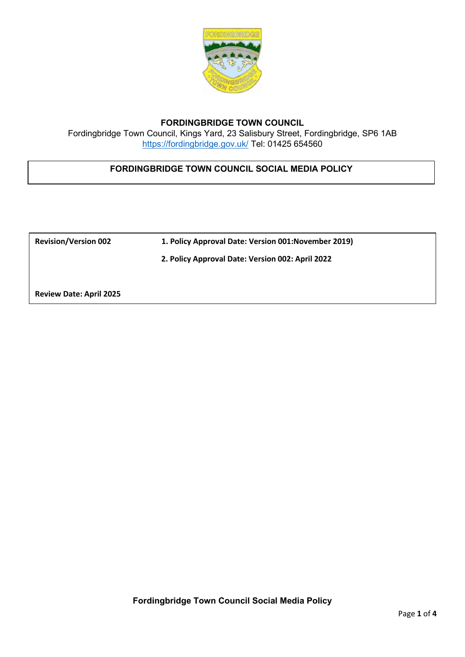

## **FORDINGBRIDGE TOWN COUNCIL**

Fordingbridge Town Council, Kings Yard, 23 Salisbury Street, Fordingbridge, SP6 1AB <https://fordingbridge.gov.uk/> Tel: 01425 654560

## **FORDINGBRIDGE TOWN COUNCIL SOCIAL MEDIA POLICY**

**Revision/Version 002 1. Policy Approval Date: Version 001:November 2019)**

 **2. Policy Approval Date: Version 002: April 2022**

**Review Date: April 2025**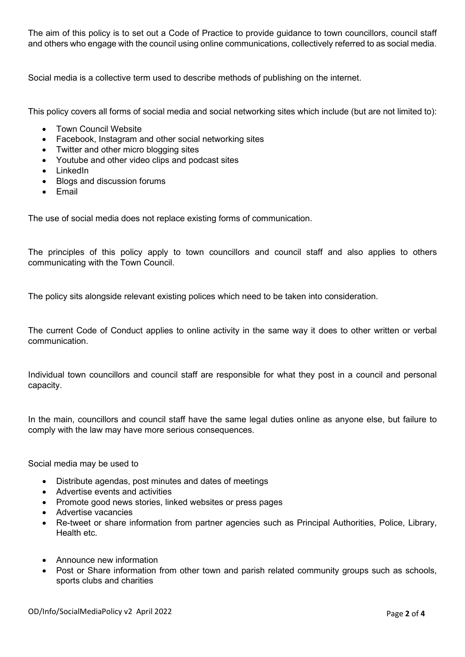The aim of this policy is to set out a Code of Practice to provide guidance to town councillors, council staff and others who engage with the council using online communications, collectively referred to as social media.

Social media is a collective term used to describe methods of publishing on the internet.

This policy covers all forms of social media and social networking sites which include (but are not limited to):

- Town Council Website
- Facebook, Instagram and other social networking sites
- Twitter and other micro blogging sites
- Youtube and other video clips and podcast sites
- LinkedIn
- Blogs and discussion forums
- Email

The use of social media does not replace existing forms of communication.

The principles of this policy apply to town councillors and council staff and also applies to others communicating with the Town Council.

The policy sits alongside relevant existing polices which need to be taken into consideration.

The current Code of Conduct applies to online activity in the same way it does to other written or verbal communication.

Individual town councillors and council staff are responsible for what they post in a council and personal capacity.

In the main, councillors and council staff have the same legal duties online as anyone else, but failure to comply with the law may have more serious consequences.

Social media may be used to

- Distribute agendas, post minutes and dates of meetings
- Advertise events and activities
- Promote good news stories, linked websites or press pages
- Advertise vacancies
- Re-tweet or share information from partner agencies such as Principal Authorities, Police, Library, Health etc.
- Announce new information
- Post or Share information from other town and parish related community groups such as schools, sports clubs and charities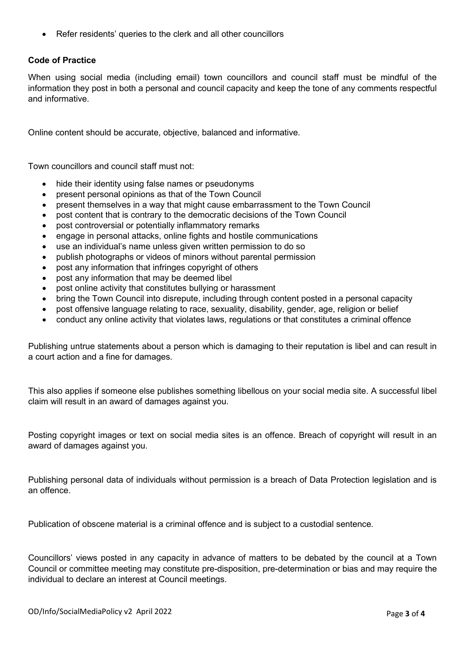• Refer residents' queries to the clerk and all other councillors

## **Code of Practice**

When using social media (including email) town councillors and council staff must be mindful of the information they post in both a personal and council capacity and keep the tone of any comments respectful and informative.

Online content should be accurate, objective, balanced and informative.

Town councillors and council staff must not:

- hide their identity using false names or pseudonyms
- present personal opinions as that of the Town Council
- present themselves in a way that might cause embarrassment to the Town Council
- post content that is contrary to the democratic decisions of the Town Council
- post controversial or potentially inflammatory remarks
- engage in personal attacks, online fights and hostile communications
- use an individual's name unless given written permission to do so
- publish photographs or videos of minors without parental permission
- post any information that infringes copyright of others
- post any information that may be deemed libel
- post online activity that constitutes bullying or harassment
- bring the Town Council into disrepute, including through content posted in a personal capacity
- post offensive language relating to race, sexuality, disability, gender, age, religion or belief
- conduct any online activity that violates laws, regulations or that constitutes a criminal offence

Publishing untrue statements about a person which is damaging to their reputation is libel and can result in a court action and a fine for damages.

This also applies if someone else publishes something libellous on your social media site. A successful libel claim will result in an award of damages against you.

Posting copyright images or text on social media sites is an offence. Breach of copyright will result in an award of damages against you.

Publishing personal data of individuals without permission is a breach of Data Protection legislation and is an offence.

Publication of obscene material is a criminal offence and is subject to a custodial sentence.

Councillors' views posted in any capacity in advance of matters to be debated by the council at a Town Council or committee meeting may constitute pre-disposition, pre-determination or bias and may require the individual to declare an interest at Council meetings.